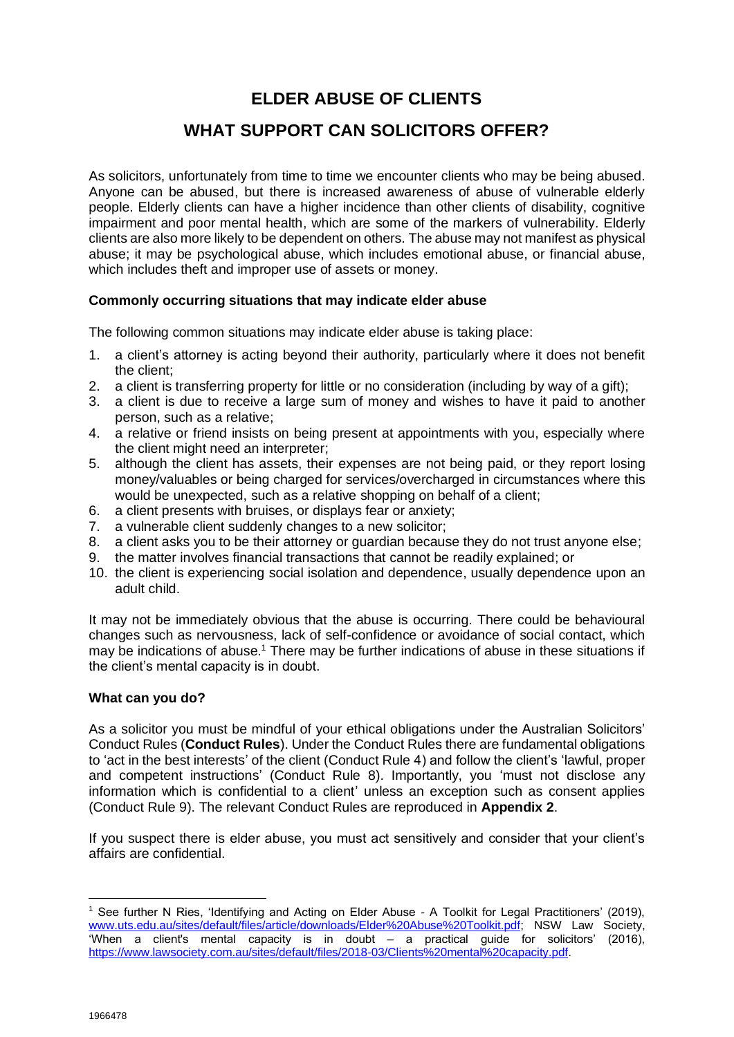# **ELDER ABUSE OF CLIENTS**

# **WHAT SUPPORT CAN SOLICITORS OFFER?**

As solicitors, unfortunately from time to time we encounter clients who may be being abused. Anyone can be abused, but there is increased awareness of abuse of vulnerable elderly people. Elderly clients can have a higher incidence than other clients of disability, cognitive impairment and poor mental health, which are some of the markers of vulnerability. Elderly clients are also more likely to be dependent on others. The abuse may not manifest as physical abuse; it may be psychological abuse, which includes emotional abuse, or financial abuse, which includes theft and improper use of assets or money.

## **Commonly occurring situations that may indicate elder abuse**

The following common situations may indicate elder abuse is taking place:

- 1. a client's attorney is acting beyond their authority, particularly where it does not benefit the client;
- 2. a client is transferring property for little or no consideration (including by way of a gift);
- 3. a client is due to receive a large sum of money and wishes to have it paid to another person, such as a relative;
- 4. a relative or friend insists on being present at appointments with you, especially where the client might need an interpreter;
- 5. although the client has assets, their expenses are not being paid, or they report losing money/valuables or being charged for services/overcharged in circumstances where this would be unexpected, such as a relative shopping on behalf of a client;
- 6. a client presents with bruises, or displays fear or anxiety;
- 7. a vulnerable client suddenly changes to a new solicitor;
- 8. a client asks you to be their attorney or guardian because they do not trust anyone else;
- 9. the matter involves financial transactions that cannot be readily explained; or
- 10. the client is experiencing social isolation and dependence, usually dependence upon an adult child.

It may not be immediately obvious that the abuse is occurring. There could be behavioural changes such as nervousness, lack of self-confidence or avoidance of social contact, which may be indications of abuse.<sup>1</sup> There may be further indications of abuse in these situations if the client's mental capacity is in doubt.

## **What can you do?**

As a solicitor you must be mindful of your ethical obligations under the Australian Solicitors' Conduct Rules (**Conduct Rules**). Under the Conduct Rules there are fundamental obligations to 'act in the best interests' of the client (Conduct Rule 4) and follow the client's 'lawful, proper and competent instructions' (Conduct Rule 8). Importantly, you 'must not disclose any information which is confidential to a client' unless an exception such as consent applies (Conduct Rule 9). The relevant Conduct Rules are reproduced in **Appendix 2**.

If you suspect there is elder abuse, you must act sensitively and consider that your client's affairs are confidential.

<sup>&</sup>lt;sup>1</sup> See further N Ries, 'Identifying and Acting on Elder Abuse - A Toolkit for Legal Practitioners' (2019), [www.uts.edu.au/sites/default/files/article/downloads/Elder%20Abuse%20Toolkit.pdf;](http://www.uts.edu.au/sites/default/files/article/downloads/Elder%20Abuse%20Toolkit.pdf) NSW Law Society,  $W$ hen a client's mental capacity is in doubt – a practical guide for solicitors' (2016), [https://www.lawsociety.com.au/sites/default/files/2018-03/Clients%20mental%20capacity.pdf.](https://www.lawsociety.com.au/sites/default/files/2018-03/Clients%20mental%20capacity.pdf)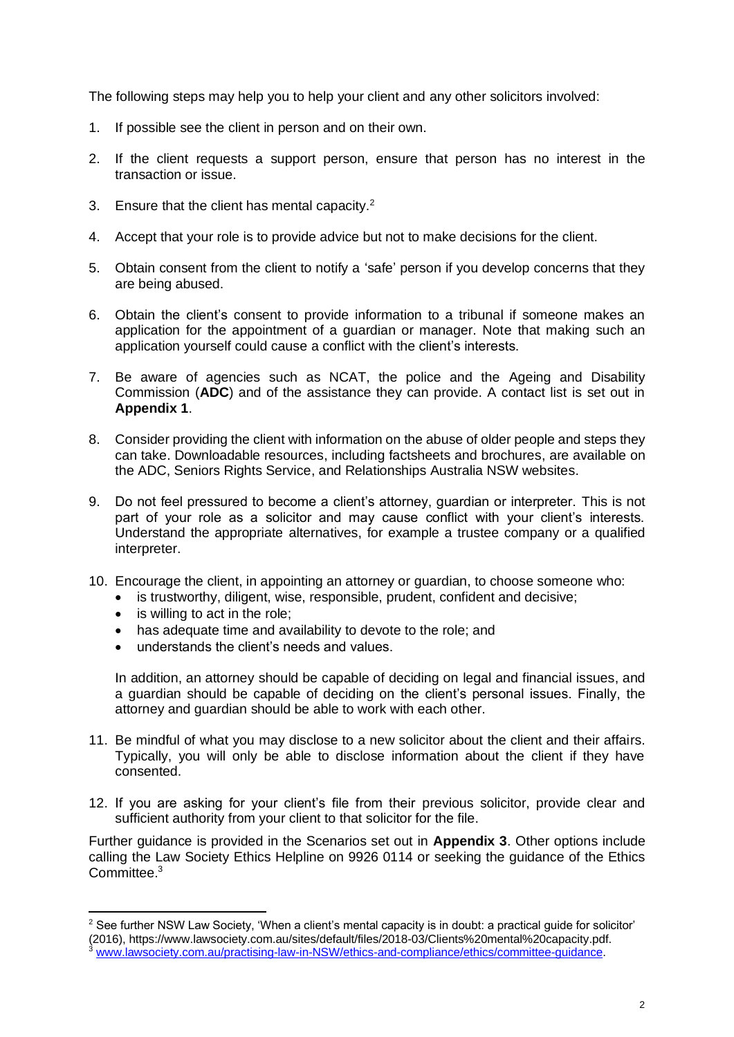The following steps may help you to help your client and any other solicitors involved:

- 1. If possible see the client in person and on their own.
- 2. If the client requests a support person, ensure that person has no interest in the transaction or issue.
- 3. Ensure that the client has mental capacity.<sup>2</sup>
- 4. Accept that your role is to provide advice but not to make decisions for the client.
- 5. Obtain consent from the client to notify a 'safe' person if you develop concerns that they are being abused.
- 6. Obtain the client's consent to provide information to a tribunal if someone makes an application for the appointment of a guardian or manager. Note that making such an application yourself could cause a conflict with the client's interests.
- 7. Be aware of agencies such as NCAT, the police and the Ageing and Disability Commission (**ADC**) and of the assistance they can provide. A contact list is set out in **Appendix 1**.
- 8. Consider providing the client with information on the abuse of older people and steps they can take. Downloadable resources, including factsheets and brochures, are available on the ADC, Seniors Rights Service, and Relationships Australia NSW websites.
- 9. Do not feel pressured to become a client's attorney, guardian or interpreter. This is not part of your role as a solicitor and may cause conflict with your client's interests. Understand the appropriate alternatives, for example a trustee company or a qualified interpreter.
- 10. Encourage the client, in appointing an attorney or guardian, to choose someone who:
	- is trustworthy, diligent, wise, responsible, prudent, confident and decisive;
	- is willing to act in the role:
	- has adequate time and availability to devote to the role; and
	- understands the client's needs and values.

In addition, an attorney should be capable of deciding on legal and financial issues, and a guardian should be capable of deciding on the client's personal issues. Finally, the attorney and guardian should be able to work with each other.

- 11. Be mindful of what you may disclose to a new solicitor about the client and their affairs. Typically, you will only be able to disclose information about the client if they have consented.
- 12. If you are asking for your client's file from their previous solicitor, provide clear and sufficient authority from your client to that solicitor for the file.

Further guidance is provided in the Scenarios set out in **Appendix 3**. Other options include calling the Law Society Ethics Helpline on 9926 0114 or seeking the guidance of the Ethics Committee. 3

<sup>&</sup>lt;sup>2</sup> See further NSW Law Society, 'When a client's mental capacity is in doubt: a practical guide for solicitor' (2016), https://www.lawsociety.com.au/sites/default/files/2018-03/Clients%20mental%20capacity.pdf.

<sup>3</sup> [www.lawsociety.com.au/practising-law-in-NSW/ethics-and-compliance/ethics/committee-guidance.](http://www.lawsociety.com.au/practising-law-in-NSW/ethics-and-compliance/ethics/committee-guidance)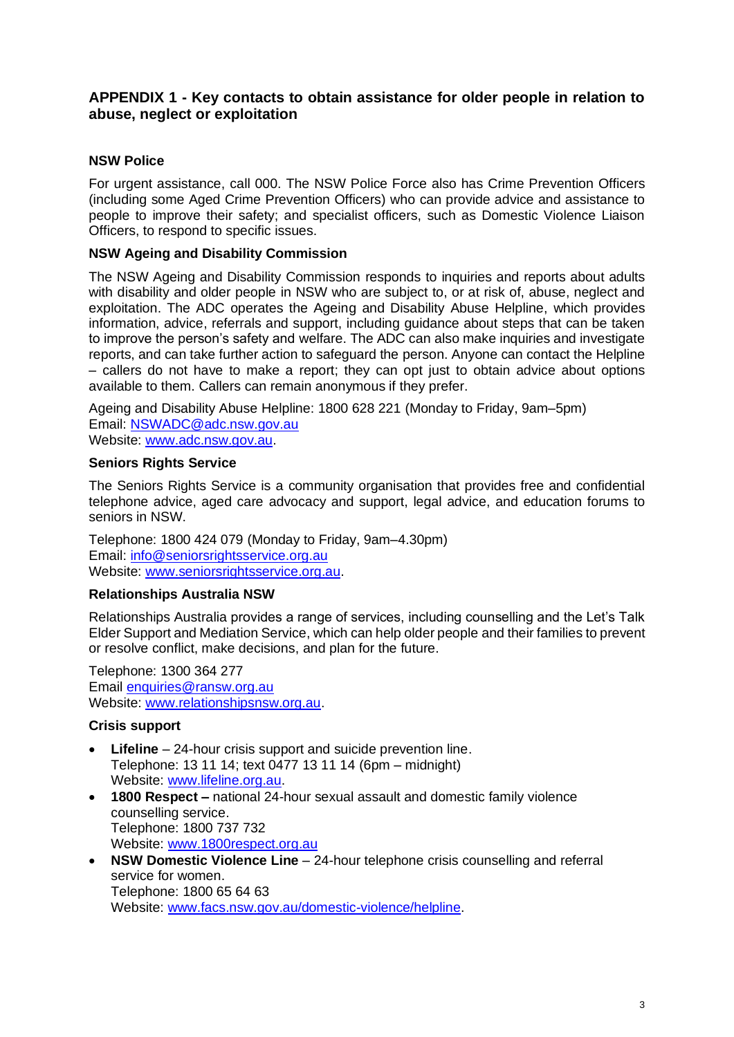## **APPENDIX 1 - Key contacts to obtain assistance for older people in relation to abuse, neglect or exploitation**

## **NSW Police**

For urgent assistance, call 000. The NSW Police Force also has Crime Prevention Officers (including some Aged Crime Prevention Officers) who can provide advice and assistance to people to improve their safety; and specialist officers, such as Domestic Violence Liaison Officers, to respond to specific issues.

## **NSW Ageing and Disability Commission**

The NSW Ageing and Disability Commission responds to inquiries and reports about adults with disability and older people in NSW who are subject to, or at risk of, abuse, neglect and exploitation. The ADC operates the Ageing and Disability Abuse Helpline, which provides information, advice, referrals and support, including guidance about steps that can be taken to improve the person's safety and welfare. The ADC can also make inquiries and investigate reports, and can take further action to safeguard the person. Anyone can contact the Helpline – callers do not have to make a report; they can opt just to obtain advice about options available to them. Callers can remain anonymous if they prefer.

Ageing and Disability Abuse Helpline: 1800 628 221 (Monday to Friday, 9am–5pm) Email: [NSWADC@adc.nsw.gov.au](mailto:NSWADC@adc.nsw.gov.au) Website: [www.adc.nsw.gov.au.](http://www.adc.nsw.gov.au/)

## **Seniors Rights Service**

The Seniors Rights Service is a community organisation that provides free and confidential telephone advice, aged care advocacy and support, legal advice, and education forums to seniors in NSW.

Telephone: 1800 424 079 (Monday to Friday, 9am–4.30pm) Email: [info@seniorsrightsservice.org.au](mailto:info@seniorsrightsservice.org.au) Website: [www.seniorsrightsservice.org.au.](http://www.seniorsrightsservice.org.au/)

## **Relationships Australia NSW**

Relationships Australia provides a range of services, including counselling and the Let's Talk Elder Support and Mediation Service, which can help older people and their families to prevent or resolve conflict, make decisions, and plan for the future.

Telephone: 1300 364 277 Email [enquiries@ransw.org.au](mailto:enquiries@ransw.org.au) Website: [www.relationshipsnsw.org.au.](http://www.relationshipsnsw.org.au/)

## **Crisis support**

- **Lifeline** 24-hour crisis support and suicide prevention line. Telephone: 13 11 14; text 0477 13 11 14 (6pm – midnight) Website: [www.lifeline.org.au.](http://www.lifeline.org.au/)
- **1800 Respect –** national 24-hour sexual assault and domestic family violence counselling service. Telephone: 1800 737 732 Website: [www.1800respect.org.au](http://www.1800respect.org.au/)
- **NSW Domestic Violence Line** 24-hour telephone crisis counselling and referral service for women. Telephone: 1800 65 64 63 Website: [www.facs.nsw.gov.au/domestic-violence/helpline.](http://www.facs.nsw.gov.au/domestic-violence/helpline)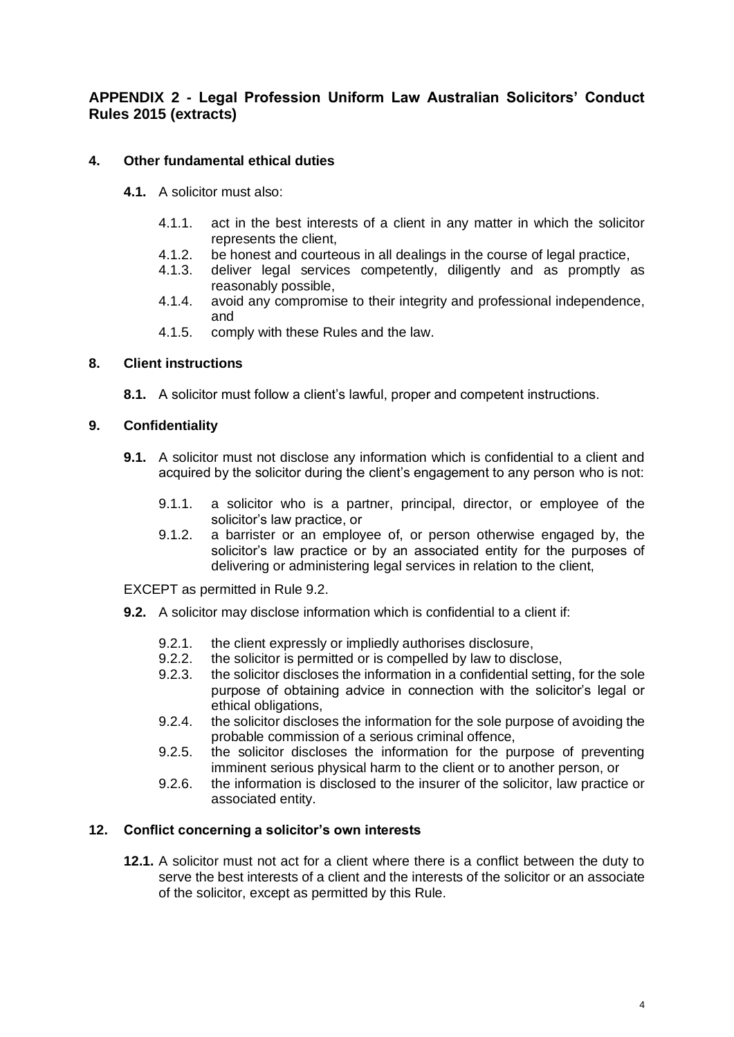## **APPENDIX 2 - Legal Profession Uniform Law Australian Solicitors' Conduct Rules 2015 (extracts)**

## **4. Other fundamental ethical duties**

- **4.1.** A solicitor must also:
	- 4.1.1. act in the best interests of a client in any matter in which the solicitor represents the client,
	- 4.1.2. be honest and courteous in all dealings in the course of legal practice,
	- 4.1.3. deliver legal services competently, diligently and as promptly as reasonably possible,
	- 4.1.4. avoid any compromise to their integrity and professional independence, and
	- 4.1.5. comply with these Rules and the law.

## **8. Client instructions**

**8.1.** A solicitor must follow a client's lawful, proper and competent instructions.

#### **9. Confidentiality**

- **9.1.** A solicitor must not disclose any information which is confidential to a client and acquired by the solicitor during the client's engagement to any person who is not:
	- 9.1.1. a solicitor who is a partner, principal, director, or employee of the solicitor's law practice, or
	- 9.1.2. a barrister or an employee of, or person otherwise engaged by, the solicitor's law practice or by an associated entity for the purposes of delivering or administering legal services in relation to the client.

EXCEPT as permitted in Rule 9.2.

- **9.2.** A solicitor may disclose information which is confidential to a client if:
	- 9.2.1. the client expressly or impliedly authorises disclosure,
	- 9.2.2. the solicitor is permitted or is compelled by law to disclose,
	- 9.2.3. the solicitor discloses the information in a confidential setting, for the sole purpose of obtaining advice in connection with the solicitor's legal or ethical obligations,
	- 9.2.4. the solicitor discloses the information for the sole purpose of avoiding the probable commission of a serious criminal offence,
	- 9.2.5. the solicitor discloses the information for the purpose of preventing imminent serious physical harm to the client or to another person, or
	- 9.2.6. the information is disclosed to the insurer of the solicitor, law practice or associated entity.

#### **12. Conflict concerning a solicitor's own interests**

**12.1.** A solicitor must not act for a client where there is a conflict between the duty to serve the best interests of a client and the interests of the solicitor or an associate of the solicitor, except as permitted by this Rule.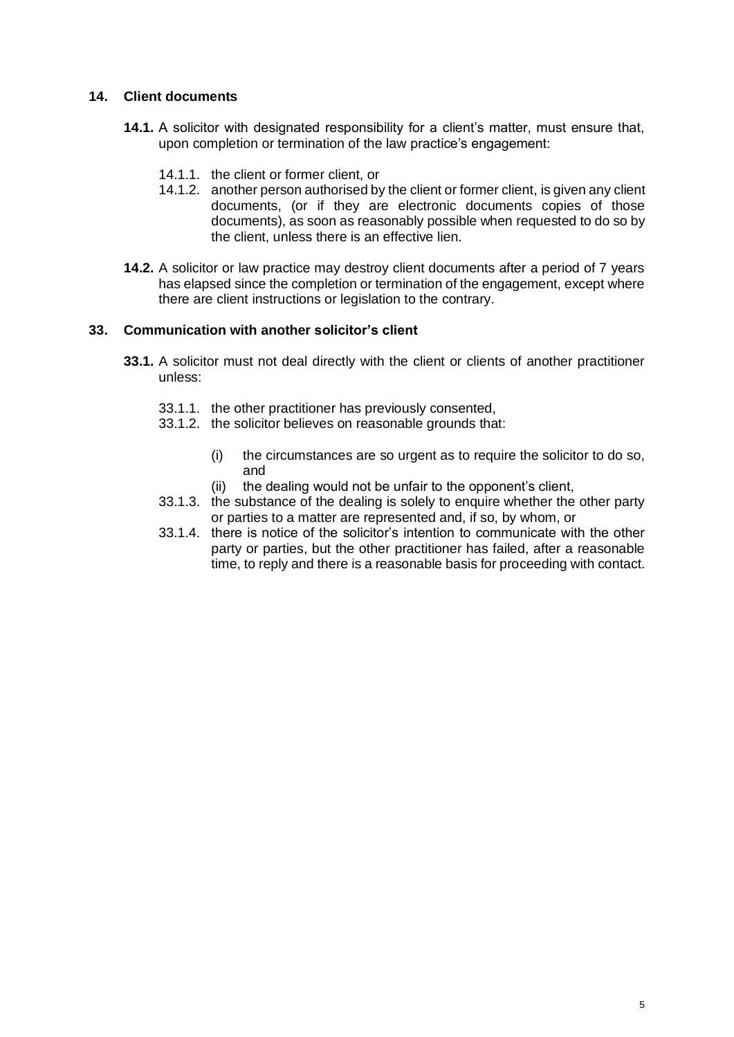## **14. Client documents**

- **14.1.** A solicitor with designated responsibility for a client's matter, must ensure that, upon completion or termination of the law practice's engagement:
	- 14.1.1. the client or former client, or
	- 14.1.2. another person authorised by the client or former client, is given any client documents, (or if they are electronic documents copies of those documents), as soon as reasonably possible when requested to do so by the client, unless there is an effective lien.
- **14.2.** A solicitor or law practice may destroy client documents after a period of 7 years has elapsed since the completion or termination of the engagement, except where there are client instructions or legislation to the contrary.

## **33. Communication with another solicitor's client**

- **33.1.** A solicitor must not deal directly with the client or clients of another practitioner unless:
	- 33.1.1. the other practitioner has previously consented,
	- 33.1.2. the solicitor believes on reasonable grounds that:
		- (i) the circumstances are so urgent as to require the solicitor to do so, and
		- (ii) the dealing would not be unfair to the opponent's client,
	- 33.1.3. the substance of the dealing is solely to enquire whether the other party or parties to a matter are represented and, if so, by whom, or
	- 33.1.4. there is notice of the solicitor's intention to communicate with the other party or parties, but the other practitioner has failed, after a reasonable time, to reply and there is a reasonable basis for proceeding with contact.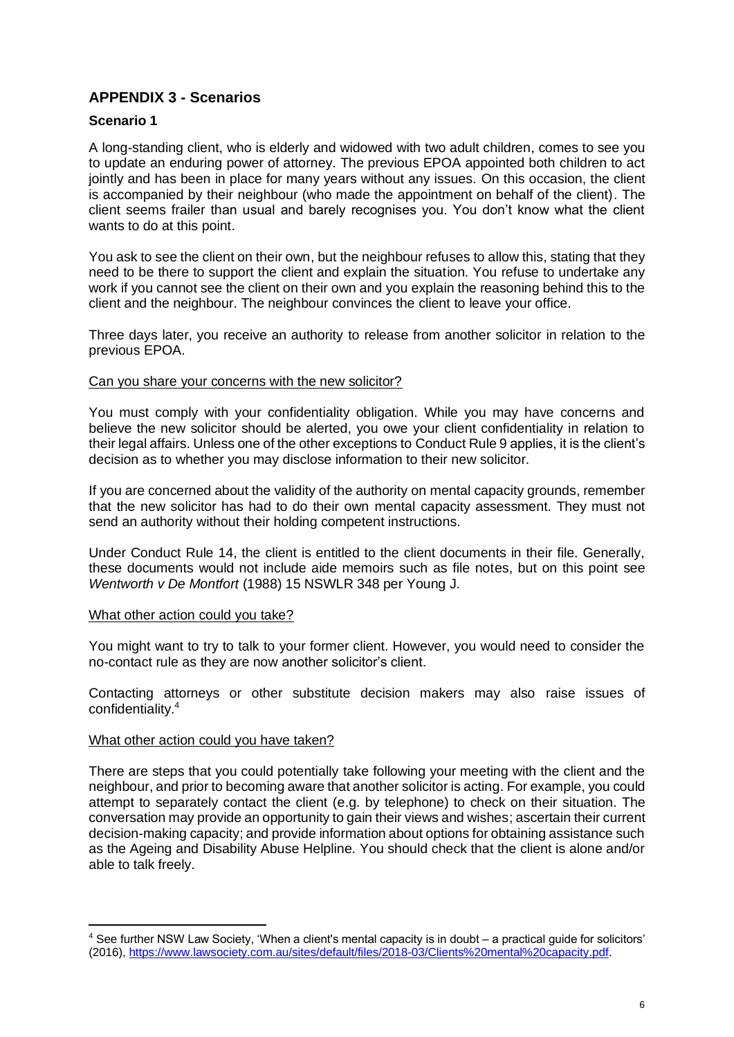# **APPENDIX 3 - Scenarios**

## **Scenario 1**

A long-standing client, who is elderly and widowed with two adult children, comes to see you to update an enduring power of attorney. The previous EPOA appointed both children to act jointly and has been in place for many years without any issues. On this occasion, the client is accompanied by their neighbour (who made the appointment on behalf of the client). The client seems frailer than usual and barely recognises you. You don't know what the client wants to do at this point.

You ask to see the client on their own, but the neighbour refuses to allow this, stating that they need to be there to support the client and explain the situation. You refuse to undertake any work if you cannot see the client on their own and you explain the reasoning behind this to the client and the neighbour. The neighbour convinces the client to leave your office.

Three days later, you receive an authority to release from another solicitor in relation to the previous EPOA.

#### Can you share your concerns with the new solicitor?

You must comply with your confidentiality obligation. While you may have concerns and believe the new solicitor should be alerted, you owe your client confidentiality in relation to their legal affairs. Unless one of the other exceptions to Conduct Rule 9 applies, it is the client's decision as to whether you may disclose information to their new solicitor.

If you are concerned about the validity of the authority on mental capacity grounds, remember that the new solicitor has had to do their own mental capacity assessment. They must not send an authority without their holding competent instructions.

Under Conduct Rule 14, the client is entitled to the client documents in their file. Generally, these documents would not include aide memoirs such as file notes, but on this point see *Wentworth v De Montfort* (1988) 15 NSWLR 348 per Young J.

#### What other action could you take?

You might want to try to talk to your former client. However, you would need to consider the no-contact rule as they are now another solicitor's client.

Contacting attorneys or other substitute decision makers may also raise issues of confidentiality. 4

#### What other action could you have taken?

There are steps that you could potentially take following your meeting with the client and the neighbour, and prior to becoming aware that another solicitor is acting. For example, you could attempt to separately contact the client (e.g. by telephone) to check on their situation. The conversation may provide an opportunity to gain their views and wishes; ascertain their current decision-making capacity; and provide information about options for obtaining assistance such as the Ageing and Disability Abuse Helpline. You should check that the client is alone and/or able to talk freely.

<sup>4</sup> See further NSW Law Society, 'When a client's mental capacity is in doubt – a practical guide for solicitors' (2016)[, https://www.lawsociety.com.au/sites/default/files/2018-03/Clients%20mental%20capacity.pdf.](https://www.lawsociety.com.au/sites/default/files/2018-03/Clients%20mental%20capacity.pdf)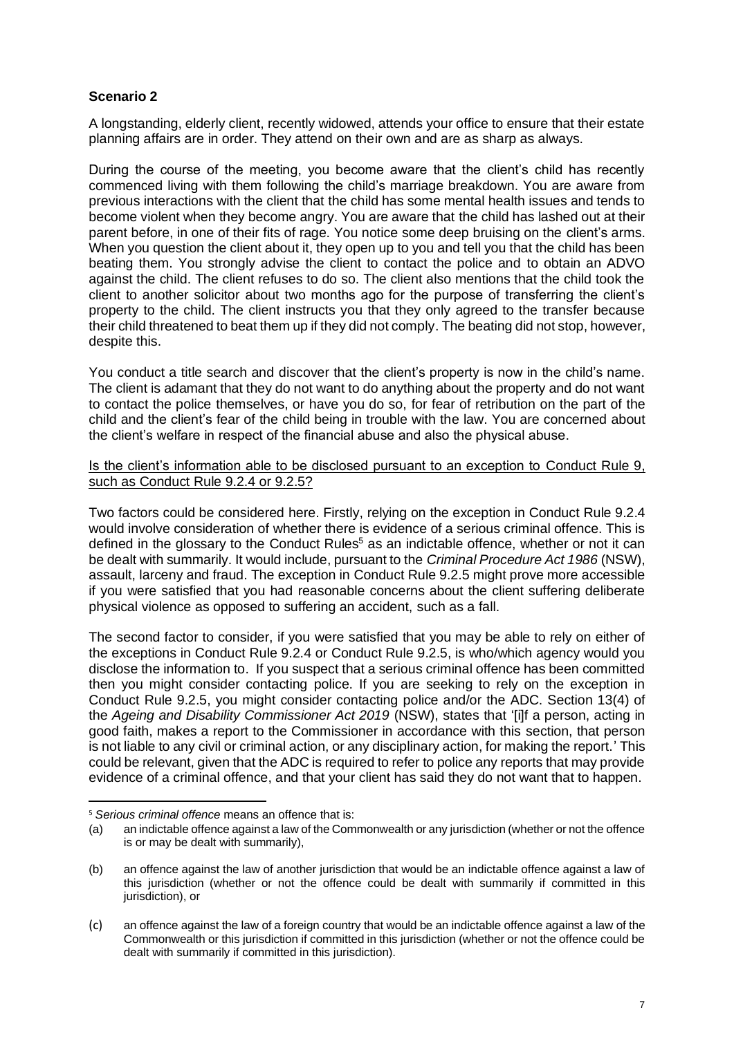## **Scenario 2**

A longstanding, elderly client, recently widowed, attends your office to ensure that their estate planning affairs are in order. They attend on their own and are as sharp as always.

During the course of the meeting, you become aware that the client's child has recently commenced living with them following the child's marriage breakdown. You are aware from previous interactions with the client that the child has some mental health issues and tends to become violent when they become angry. You are aware that the child has lashed out at their parent before, in one of their fits of rage. You notice some deep bruising on the client's arms. When you question the client about it, they open up to you and tell you that the child has been beating them. You strongly advise the client to contact the police and to obtain an ADVO against the child. The client refuses to do so. The client also mentions that the child took the client to another solicitor about two months ago for the purpose of transferring the client's property to the child. The client instructs you that they only agreed to the transfer because their child threatened to beat them up if they did not comply. The beating did not stop, however, despite this.

You conduct a title search and discover that the client's property is now in the child's name. The client is adamant that they do not want to do anything about the property and do not want to contact the police themselves, or have you do so, for fear of retribution on the part of the child and the client's fear of the child being in trouble with the law. You are concerned about the client's welfare in respect of the financial abuse and also the physical abuse.

#### Is the client's information able to be disclosed pursuant to an exception to Conduct Rule 9, such as Conduct Rule 9.2.4 or 9.2.5?

Two factors could be considered here. Firstly, relying on the exception in Conduct Rule 9.2.4 would involve consideration of whether there is evidence of a serious criminal offence. This is defined in the glossary to the Conduct Rules<sup>5</sup> as an indictable offence, whether or not it can be dealt with summarily. It would include, pursuant to the *Criminal Procedure Act 1986* (NSW), assault, larceny and fraud. The exception in Conduct Rule 9.2.5 might prove more accessible if you were satisfied that you had reasonable concerns about the client suffering deliberate physical violence as opposed to suffering an accident, such as a fall.

The second factor to consider, if you were satisfied that you may be able to rely on either of the exceptions in Conduct Rule 9.2.4 or Conduct Rule 9.2.5, is who/which agency would you disclose the information to. If you suspect that a serious criminal offence has been committed then you might consider contacting police. If you are seeking to rely on the exception in Conduct Rule 9.2.5, you might consider contacting police and/or the ADC. Section 13(4) of the *Ageing and Disability Commissioner Act 2019* (NSW), states that '[i]f a person, acting in good faith, makes a report to the Commissioner in accordance with this section, that person is not liable to any civil or criminal action, or any disciplinary action, for making the report.' This could be relevant, given that the ADC is required to refer to police any reports that may provide evidence of a criminal offence, and that your client has said they do not want that to happen.

<sup>5</sup> *Serious criminal offence* means an offence that is:

<sup>(</sup>a) an indictable offence against a law of the Commonwealth or any jurisdiction (whether or not the offence is or may be dealt with summarily),

<sup>(</sup>b) an offence against the law of another jurisdiction that would be an indictable offence against a law of this jurisdiction (whether or not the offence could be dealt with summarily if committed in this jurisdiction), or

<sup>(</sup>c) an offence against the law of a foreign country that would be an indictable offence against a law of the Commonwealth or this jurisdiction if committed in this jurisdiction (whether or not the offence could be dealt with summarily if committed in this jurisdiction).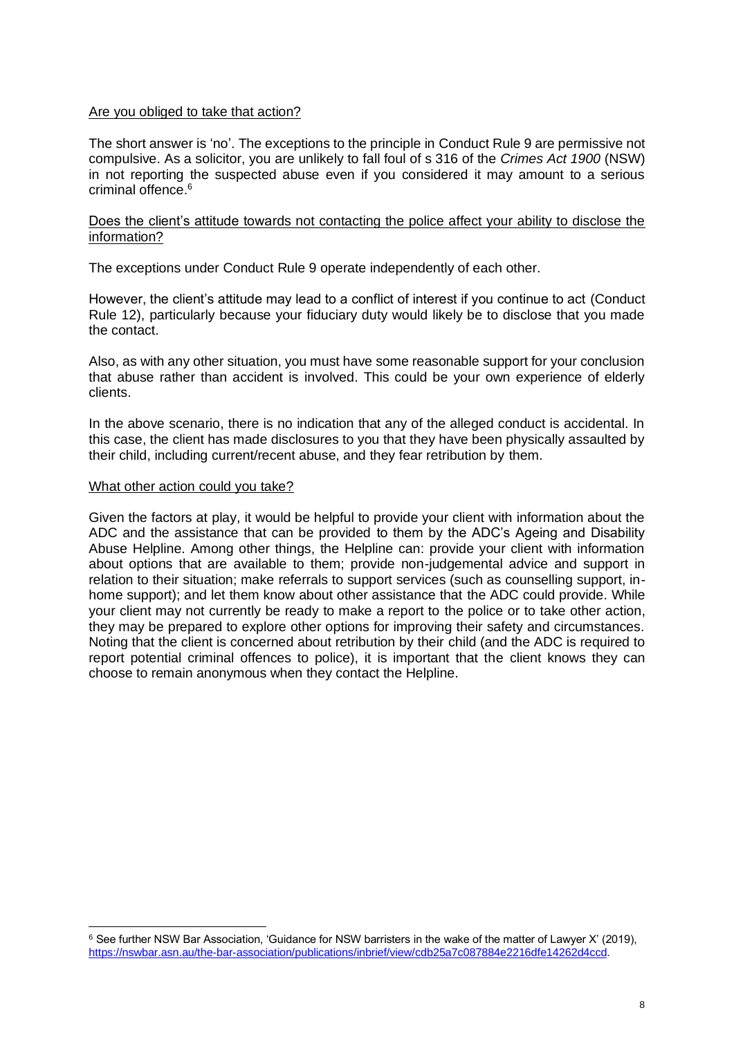#### Are you obliged to take that action?

The short answer is 'no'. The exceptions to the principle in Conduct Rule 9 are permissive not compulsive. As a solicitor, you are unlikely to fall foul of s 316 of the *Crimes Act 1900* (NSW) in not reporting the suspected abuse even if you considered it may amount to a serious criminal offence.<sup>6</sup>

#### Does the client's attitude towards not contacting the police affect your ability to disclose the information?

The exceptions under Conduct Rule 9 operate independently of each other.

However, the client's attitude may lead to a conflict of interest if you continue to act (Conduct Rule 12), particularly because your fiduciary duty would likely be to disclose that you made the contact.

Also, as with any other situation, you must have some reasonable support for your conclusion that abuse rather than accident is involved. This could be your own experience of elderly clients.

In the above scenario, there is no indication that any of the alleged conduct is accidental. In this case, the client has made disclosures to you that they have been physically assaulted by their child, including current/recent abuse, and they fear retribution by them.

#### What other action could you take?

Given the factors at play, it would be helpful to provide your client with information about the ADC and the assistance that can be provided to them by the ADC's Ageing and Disability Abuse Helpline. Among other things, the Helpline can: provide your client with information about options that are available to them; provide non-judgemental advice and support in relation to their situation; make referrals to support services (such as counselling support, inhome support); and let them know about other assistance that the ADC could provide. While your client may not currently be ready to make a report to the police or to take other action, they may be prepared to explore other options for improving their safety and circumstances. Noting that the client is concerned about retribution by their child (and the ADC is required to report potential criminal offences to police), it is important that the client knows they can choose to remain anonymous when they contact the Helpline.

<sup>6</sup> See further NSW Bar Association, 'Guidance for NSW barristers in the wake of the matter of Lawyer X' (2019), [https://nswbar.asn.au/the-bar-association/publications/inbrief/view/cdb25a7c087884e2216dfe14262d4ccd.](https://nswbar.asn.au/the-bar-association/publications/inbrief/view/cdb25a7c087884e2216dfe14262d4ccd)